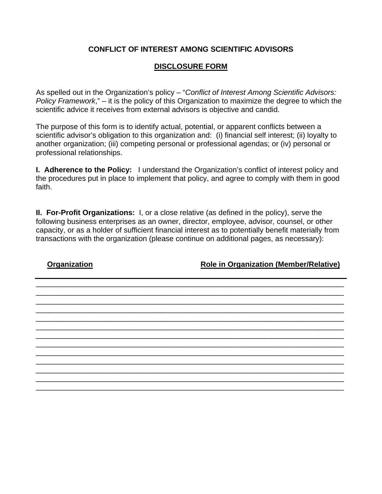## **CONFLICT OF INTEREST AMONG SCIENTIFIC ADVISORS**

## **DISCLOSURE FORM**

As spelled out in the Organization's policy – "*Conflict of Interest Among Scientific Advisors: Policy Framework*," – it is the policy of this Organization to maximize the degree to which the scientific advice it receives from external advisors is objective and candid.

The purpose of this form is to identify actual, potential, or apparent conflicts between a scientific advisor's obligation to this organization and: (i) financial self interest; (ii) loyalty to another organization; (iii) competing personal or professional agendas; or (iv) personal or professional relationships.

**I. Adherence to the Policy:** I understand the Organization's conflict of interest policy and the procedures put in place to implement that policy, and agree to comply with them in good faith.

**II. For-Profit Organizations:** I, or a close relative (as defined in the policy), serve the following business enterprises as an owner, director, employee, advisor, counsel, or other capacity, or as a holder of sufficient financial interest as to potentially benefit materially from transactions with the organization (please continue on additional pages, as necessary):

**Organization Role in Organization (Member/Relative)**